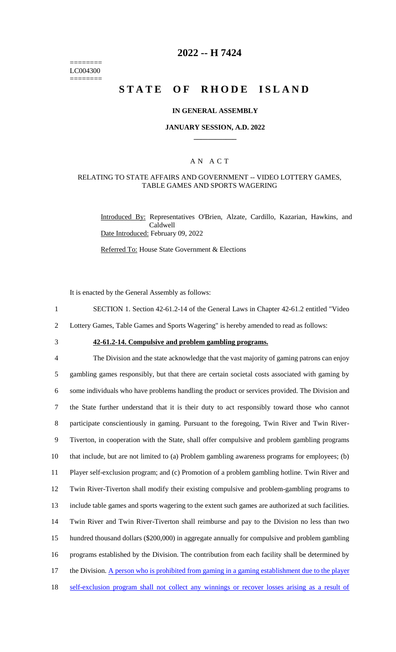======== LC004300 ========

## **2022 -- H 7424**

# **STATE OF RHODE ISLAND**

### **IN GENERAL ASSEMBLY**

#### **JANUARY SESSION, A.D. 2022 \_\_\_\_\_\_\_\_\_\_\_\_**

### A N A C T

### RELATING TO STATE AFFAIRS AND GOVERNMENT -- VIDEO LOTTERY GAMES, TABLE GAMES AND SPORTS WAGERING

Introduced By: Representatives O'Brien, Alzate, Cardillo, Kazarian, Hawkins, and Caldwell Date Introduced: February 09, 2022

Referred To: House State Government & Elections

It is enacted by the General Assembly as follows:

- 1 SECTION 1. Section 42-61.2-14 of the General Laws in Chapter 42-61.2 entitled "Video
- 2 Lottery Games, Table Games and Sports Wagering" is hereby amended to read as follows:
- 

# 3 **42-61.2-14. Compulsive and problem gambling programs.**

 The Division and the state acknowledge that the vast majority of gaming patrons can enjoy gambling games responsibly, but that there are certain societal costs associated with gaming by some individuals who have problems handling the product or services provided. The Division and the State further understand that it is their duty to act responsibly toward those who cannot 8 participate conscientiously in gaming. Pursuant to the foregoing, Twin River and Twin River- Tiverton, in cooperation with the State, shall offer compulsive and problem gambling programs that include, but are not limited to (a) Problem gambling awareness programs for employees; (b) Player self-exclusion program; and (c) Promotion of a problem gambling hotline. Twin River and Twin River-Tiverton shall modify their existing compulsive and problem-gambling programs to include table games and sports wagering to the extent such games are authorized at such facilities. Twin River and Twin River-Tiverton shall reimburse and pay to the Division no less than two hundred thousand dollars (\$200,000) in aggregate annually for compulsive and problem gambling programs established by the Division. The contribution from each facility shall be determined by 17 the Division. A person who is prohibited from gaming in a gaming establishment due to the player 18 self-exclusion program shall not collect any winnings or recover losses arising as a result of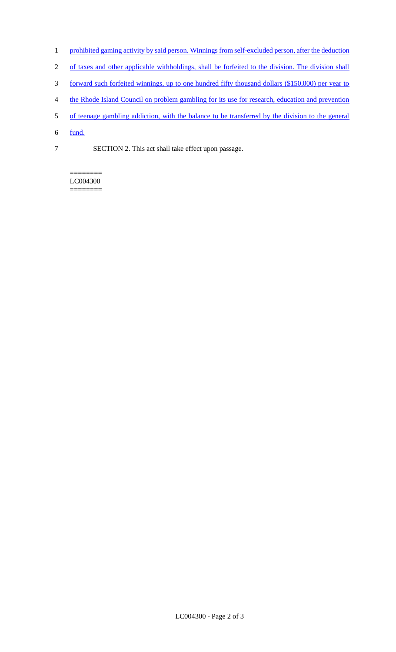- 1 prohibited gaming activity by said person. Winnings from self-excluded person, after the deduction
- 2 of taxes and other applicable withholdings, shall be forfeited to the division. The division shall
- 3 forward such forfeited winnings, up to one hundred fifty thousand dollars (\$150,000) per year to
- 4 the Rhode Island Council on problem gambling for its use for research, education and prevention
- 5 of teenage gambling addiction, with the balance to be transferred by the division to the general
- 6 fund.
- 7 SECTION 2. This act shall take effect upon passage.

======== LC004300 ========